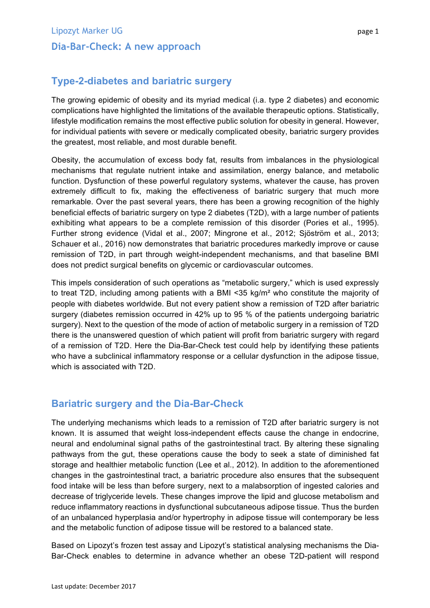## **Type-2-diabetes and bariatric surgery**

The growing epidemic of obesity and its myriad medical (i.a. type 2 diabetes) and economic complications have highlighted the limitations of the available therapeutic options. Statistically, lifestyle modification remains the most effective public solution for obesity in general. However, for individual patients with severe or medically complicated obesity, bariatric surgery provides the greatest, most reliable, and most durable benefit.

Obesity, the accumulation of excess body fat, results from imbalances in the physiological mechanisms that regulate nutrient intake and assimilation, energy balance, and metabolic function. Dysfunction of these powerful regulatory systems, whatever the cause, has proven extremely difficult to fix, making the effectiveness of bariatric surgery that much more remarkable. Over the past several years, there has been a growing recognition of the highly beneficial effects of bariatric surgery on type 2 diabetes (T2D), with a large number of patients exhibiting what appears to be a complete remission of this disorder (Pories et al., 1995). Further strong evidence (Vidal et al., 2007; Mingrone et al., 2012; Sjöström et al., 2013; Schauer et al., 2016) now demonstrates that bariatric procedures markedly improve or cause remission of T2D, in part through weight-independent mechanisms, and that baseline BMI does not predict surgical benefits on glycemic or cardiovascular outcomes.

This impels consideration of such operations as "metabolic surgery," which is used expressly to treat T2D, including among patients with a BMI <35 kg/m² who constitute the majority of people with diabetes worldwide. But not every patient show a remission of T2D after bariatric surgery (diabetes remission occurred in 42% up to 95 % of the patients undergoing bariatric surgery). Next to the question of the mode of action of metabolic surgery in a remission of T2D there is the unanswered question of which patient will profit from bariatric surgery with regard of a remission of T2D. Here the Dia-Bar-Check test could help by identifying these patients who have a subclinical inflammatory response or a cellular dysfunction in the adipose tissue, which is associated with T2D.

## **Bariatric surgery and the Dia-Bar-Check**

The underlying mechanisms which leads to a remission of T2D after bariatric surgery is not known. It is assumed that weight loss-independent effects cause the change in endocrine, neural and endoluminal signal paths of the gastrointestinal tract. By altering these signaling pathways from the gut, these operations cause the body to seek a state of diminished fat storage and healthier metabolic function (Lee et al., 2012). In addition to the aforementioned changes in the gastrointestinal tract, a bariatric procedure also ensures that the subsequent food intake will be less than before surgery, next to a malabsorption of ingested calories and decrease of triglyceride levels. These changes improve the lipid and glucose metabolism and reduce inflammatory reactions in dysfunctional subcutaneous adipose tissue. Thus the burden of an unbalanced hyperplasia and/or hypertrophy in adipose tissue will contemporary be less and the metabolic function of adipose tissue will be restored to a balanced state.

Based on Lipozyt's frozen test assay and Lipozyt's statistical analysing mechanisms the Dia-Bar-Check enables to determine in advance whether an obese T2D-patient will respond